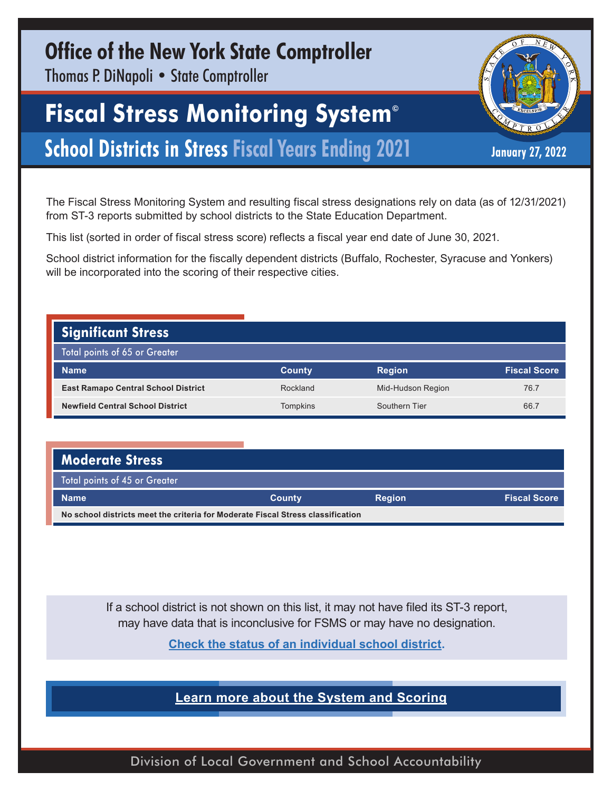## **Office of the New York State Comptroller**

Thomas P. DiNapoli • State Comptroller

## **Fiscal Stress Monitoring System©**

### **School Districts in Stress Fiscal Years Ending 2021** January 27, 2022

The Fiscal Stress Monitoring System and resulting fiscal stress designations rely on data (as of 12/31/2021) from ST-3 reports submitted by school districts to the State Education Department.

This list (sorted in order of fiscal stress score) reflects a fiscal year end date of June 30, 2021.

School district information for the fiscally dependent districts (Buffalo, Rochester, Syracuse and Yonkers) will be incorporated into the scoring of their respective cities.

#### **Significant Stress**  Total points of 65 or Greater **Name County Region Fiscal Score East Ramapo Central School District Rockland** Reckland Mid-Hudson Region 76.7 **Newfield Central School District** The Compution of Tompkins Southern Tier 66.7

| <b>Moderate Stress</b>                                                          |               |               |                     |  |  |  |
|---------------------------------------------------------------------------------|---------------|---------------|---------------------|--|--|--|
| Total points of 45 or Greater                                                   |               |               |                     |  |  |  |
| <b>Name</b>                                                                     | <b>County</b> | <b>Region</b> | <b>Fiscal Score</b> |  |  |  |
| No school districts meet the criteria for Moderate Fiscal Stress classification |               |               |                     |  |  |  |

If a school district is not shown on this list, it may not have filed its ST-3 report, may have data that is inconclusive for FSMS or may have no designation.

**[Check the status of an individual school district.](http://wwe1.osc.state.ny.us/localgov/fiscalmonitoring/fsms.cfm)** 

**[Learn more about the System and Scoring](https://www.osc.state.ny.us/files/local-government/fiscal-monitoring/pdf/factsheet.pdf)**

Division of Local Government and School Accountability